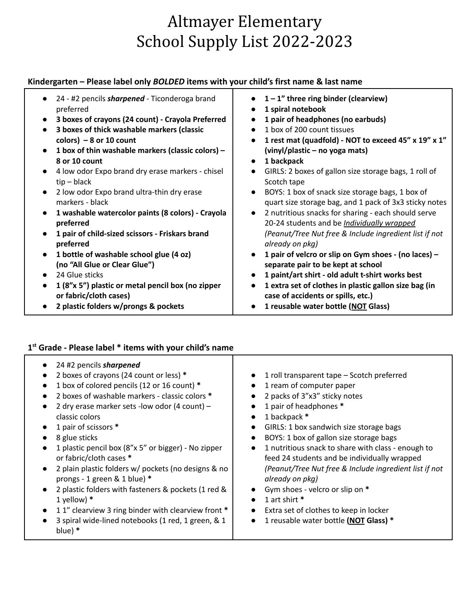# Altmayer Elementary School Supply List 2022-2023

## **Kindergarten – Please label only** *BOLDED* **items with your child's first name & last name**

| 24 - #2 pencils <i>sharpened</i> - Ticonderoga brand<br>preferred | $1 - 1$ " three ring binder (clearview)<br>1 spiral notebook |
|-------------------------------------------------------------------|--------------------------------------------------------------|
|                                                                   |                                                              |
| 3 boxes of crayons (24 count) - Crayola Preferred<br>$\bullet$    | 1 pair of headphones (no earbuds)                            |
| 3 boxes of thick washable markers (classic<br>$\bullet$           | 1 box of 200 count tissues                                   |
| colors) $-8$ or 10 count                                          | 1 rest mat (quadfold) - NOT to exceed 45" x 19" x 1"         |
| 1 box of thin washable markers (classic colors) -<br>$\bullet$    | (vinyl/plastic – no yoga mats)                               |
| 8 or 10 count                                                     | 1 backpack<br>$\bullet$                                      |
| 4 low odor Expo brand dry erase markers - chisel<br>$\bullet$     | GIRLS: 2 boxes of gallon size storage bags, 1 roll of        |
| $tip - black$                                                     | Scotch tape                                                  |
| 2 low odor Expo brand ultra-thin dry erase<br>$\bullet$           | BOYS: 1 box of snack size storage bags, 1 box of             |
| markers - black                                                   | quart size storage bag, and 1 pack of 3x3 sticky notes       |
| 1 washable watercolor paints (8 colors) - Crayola<br>$\bullet$    | 2 nutritious snacks for sharing - each should serve          |
| preferred                                                         |                                                              |
|                                                                   | 20-24 students and be <i>Individually wrapped</i>            |
| 1 pair of child-sized scissors - Friskars brand                   | (Peanut/Tree Nut free & Include ingredient list if not       |
| preferred                                                         | already on pkg)                                              |
| 1 bottle of washable school glue (4 oz)<br>$\bullet$              | 1 pair of velcro or slip on Gym shoes - (no laces) -         |
| (no "All Glue or Clear Glue")                                     | separate pair to be kept at school                           |
| 24 Glue sticks                                                    | 1 paint/art shirt - old adult t-shirt works best             |
| 1 (8"x 5") plastic or metal pencil box (no zipper<br>$\bullet$    | 1 extra set of clothes in plastic gallon size bag (in        |
| or fabric/cloth cases)                                            | case of accidents or spills, etc.)                           |
| 2 plastic folders w/prongs & pockets                              | 1 reusable water bottle (NOT Glass)                          |
|                                                                   |                                                              |

**● 2 plastic folders w/prongs & pockets**

## **1 st Grade - Please label \* items with your child's name**

| 24 #2 pencils sharpened<br>2 boxes of crayons (24 count or less) *<br>1 roll transparent tape - Scotch preferred<br>1 box of colored pencils (12 or 16 count) *<br>1 ream of computer paper<br>$\bullet$<br>2 boxes of washable markers - classic colors *<br>2 packs of 3"x3" sticky notes<br>$\bullet$<br>1 pair of headphones *<br>2 dry erase marker sets -low odor (4 count) -<br>1 backpack *<br>classic colors<br>$\bullet$<br>1 pair of scissors *<br>GIRLS: 1 box sandwich size storage bags<br>$\bullet$<br>BOYS: 1 box of gallon size storage bags<br>8 glue sticks<br>$\bullet$<br>1 nutritious snack to share with class - enough to<br>1 plastic pencil box (8"x 5" or bigger) - No zipper<br>$\bullet$<br>or fabric/cloth cases *<br>feed 24 students and be individually wrapped<br>(Peanut/Tree Nut free & Include ingredient list if not<br>2 plain plastic folders w/ pockets (no designs & no<br>prongs - 1 green & 1 blue) *<br>already on pkg)<br>Gym shoes - velcro or slip on *<br>2 plastic folders with fasteners & pockets (1 red &<br>1 art shirt *<br>1 yellow) $*$<br>$\bullet$<br>11" clearview 3 ring binder with clearview front *<br>Extra set of clothes to keep in locker<br>$\bullet$<br>3 spiral wide-lined notebooks (1 red, 1 green, & 1<br>1 reusable water bottle (NOT Glass) *<br>blue) $*$ |  |  |  |
|----------------------------------------------------------------------------------------------------------------------------------------------------------------------------------------------------------------------------------------------------------------------------------------------------------------------------------------------------------------------------------------------------------------------------------------------------------------------------------------------------------------------------------------------------------------------------------------------------------------------------------------------------------------------------------------------------------------------------------------------------------------------------------------------------------------------------------------------------------------------------------------------------------------------------------------------------------------------------------------------------------------------------------------------------------------------------------------------------------------------------------------------------------------------------------------------------------------------------------------------------------------------------------------------------------------------------------------|--|--|--|
|                                                                                                                                                                                                                                                                                                                                                                                                                                                                                                                                                                                                                                                                                                                                                                                                                                                                                                                                                                                                                                                                                                                                                                                                                                                                                                                                        |  |  |  |